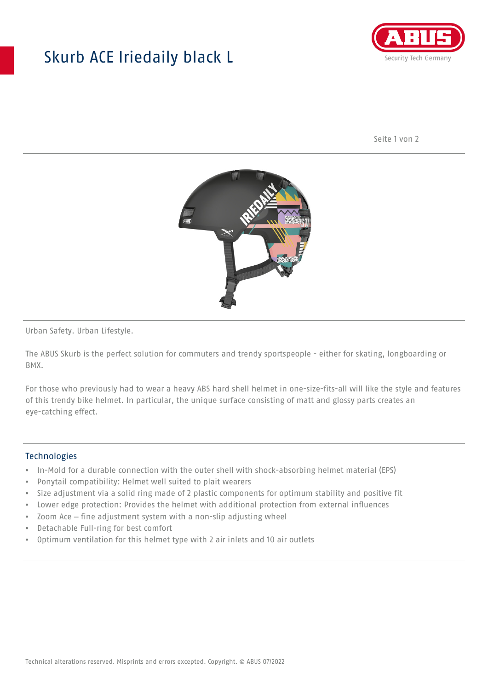## Skurb ACE Iriedaily black L



Seite 1 von 2



Urban Safety. Urban Lifestyle.

The ABUS Skurb is the perfect solution for commuters and trendy sportspeople - either for skating, longboarding or BMX.

For those who previously had to wear a heavy ABS hard shell helmet in one-size-fits-all will like the style and features of this trendy bike helmet. In particular, the unique surface consisting of matt and glossy parts creates an eye-catching effect.

## **Technologies**

- In-Mold for a durable connection with the outer shell with shock-absorbing helmet material (EPS)
- Ponytail compatibility: Helmet well suited to plait wearers
- Size adjustment via a solid ring made of 2 plastic components for optimum stability and positive fit
- Lower edge protection: Provides the helmet with additional protection from external influences
- Zoom Ace fine adjustment system with a non-slip adjusting wheel
- Detachable Full-ring for best comfort
- Optimum ventilation for this helmet type with 2 air inlets and 10 air outlets